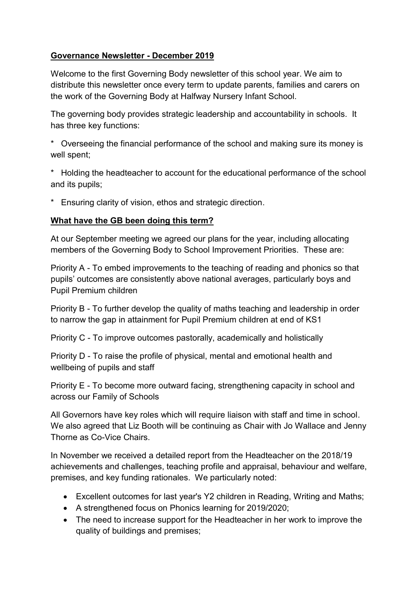## **Governance Newsletter - December 2019**

Welcome to the first Governing Body newsletter of this school year. We aim to distribute this newsletter once every term to update parents, families and carers on the work of the Governing Body at Halfway Nursery Infant School.

The governing body provides strategic leadership and accountability in schools. It has three key functions:

\* Overseeing the financial performance of the school and making sure its money is well spent;

\* Holding the headteacher to account for the educational performance of the school and its pupils;

\* Ensuring clarity of vision, ethos and strategic direction.

## **What have the GB been doing this term?**

At our September meeting we agreed our plans for the year, including allocating members of the Governing Body to School Improvement Priorities. These are:

Priority A - To embed improvements to the teaching of reading and phonics so that pupils' outcomes are consistently above national averages, particularly boys and Pupil Premium children

Priority B - To further develop the quality of maths teaching and leadership in order to narrow the gap in attainment for Pupil Premium children at end of KS1

Priority C - To improve outcomes pastorally, academically and holistically

Priority D - To raise the profile of physical, mental and emotional health and wellbeing of pupils and staff

Priority E - To become more outward facing, strengthening capacity in school and across our Family of Schools

All Governors have key roles which will require liaison with staff and time in school. We also agreed that Liz Booth will be continuing as Chair with Jo Wallace and Jenny Thorne as Co-Vice Chairs.

In November we received a detailed report from the Headteacher on the 2018/19 achievements and challenges, teaching profile and appraisal, behaviour and welfare, premises, and key funding rationales. We particularly noted:

- Excellent outcomes for last year's Y2 children in Reading, Writing and Maths;
- A strengthened focus on Phonics learning for 2019/2020;
- The need to increase support for the Headteacher in her work to improve the quality of buildings and premises;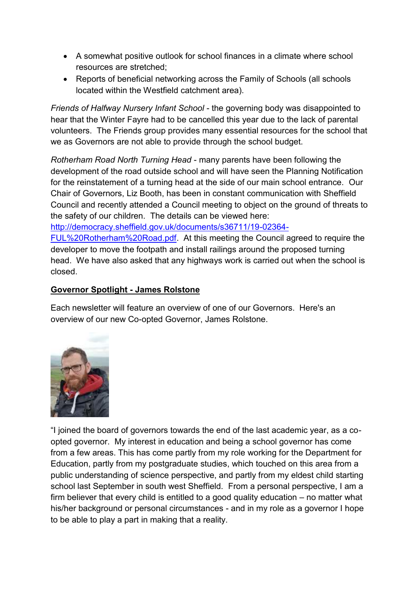- A somewhat positive outlook for school finances in a climate where school resources are stretched;
- Reports of beneficial networking across the Family of Schools (all schools located within the Westfield catchment area).

*Friends of Halfway Nursery Infant School* - the governing body was disappointed to hear that the Winter Fayre had to be cancelled this year due to the lack of parental volunteers. The Friends group provides many essential resources for the school that we as Governors are not able to provide through the school budget.

*Rotherham Road North Turning Head* - many parents have been following the development of the road outside school and will have seen the Planning Notification for the reinstatement of a turning head at the side of our main school entrance. Our Chair of Governors, Liz Booth, has been in constant communication with Sheffield Council and recently attended a Council meeting to object on the ground of threats to the safety of our children. The details can be viewed here:

[http://democracy.sheffield.gov.uk/documents/s36711/19-02364-](http://democracy.sheffield.gov.uk/documents/s36711/19-02364-FUL%20Rotherham%20Road.pdf)

[FUL%20Rotherham%20Road.pdf.](http://democracy.sheffield.gov.uk/documents/s36711/19-02364-FUL%20Rotherham%20Road.pdf) At this meeting the Council agreed to require the developer to move the footpath and install railings around the proposed turning head. We have also asked that any highways work is carried out when the school is closed.

## **Governor Spotlight - James Rolstone**

Each newsletter will feature an overview of one of our Governors. Here's an overview of our new Co-opted Governor, James Rolstone.



"I joined the board of governors towards the end of the last academic year, as a coopted governor. My interest in education and being a school governor has come from a few areas. This has come partly from my role working for the Department for Education, partly from my postgraduate studies, which touched on this area from a public understanding of science perspective, and partly from my eldest child starting school last September in south west Sheffield. From a personal perspective, I am a firm believer that every child is entitled to a good quality education – no matter what his/her background or personal circumstances - and in my role as a governor I hope to be able to play a part in making that a reality.